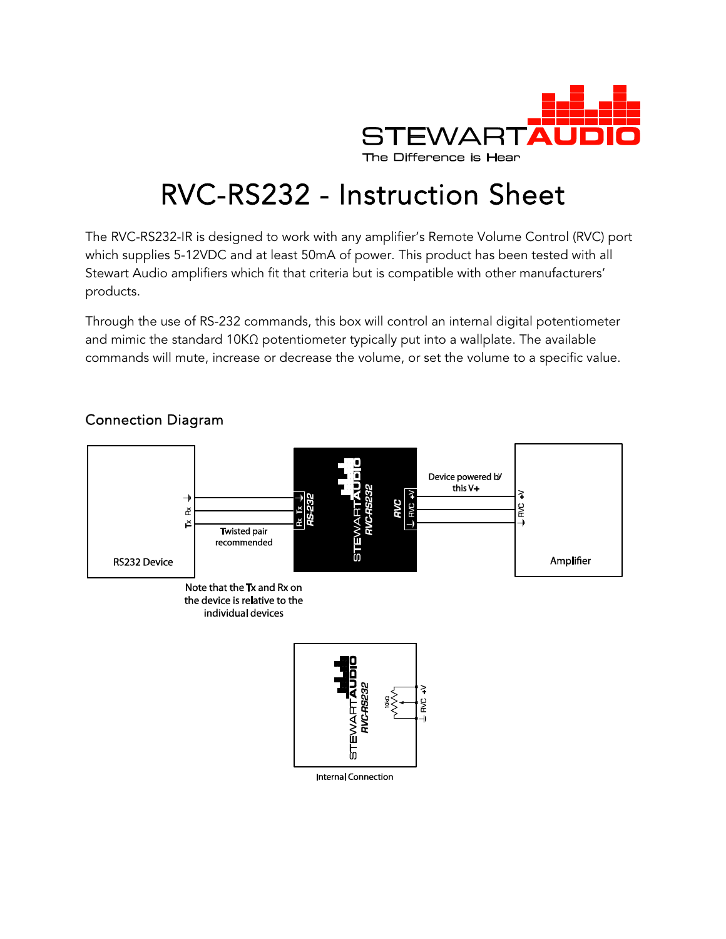

# RVC-RS232 - Instruction Sheet

The RVC-RS232-IR is designed to work with any amplifier's Remote Volume Control (RVC) port which supplies 5-12VDC and at least 50mA of power. This product has been tested with all Stewart Audio amplifiers which fit that criteria but is compatible with other manufacturers' products.

Through the use of RS-232 commands, this box will control an internal digital potentiometer and mimic the standard 10KΩ potentiometer typically put into a wallplate. The available commands will mute, increase or decrease the volume, or set the volume to a specific value.



## Connection Diagram